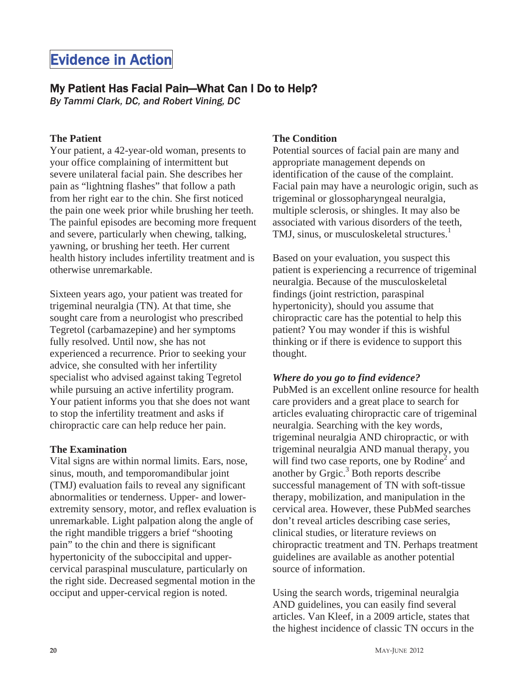# Evidence in Action

# My Patient Has Facial Pain—What Can I Do to Help?

*By Tammi Clark, DC, and Robert Vining, DC*

## **The Patient**

Your patient, a 42-year-old woman, presents to your office complaining of intermittent but severe unilateral facial pain. She describes her pain as "lightning flashes" that follow a path from her right ear to the chin. She first noticed the pain one week prior while brushing her teeth. The painful episodes are becoming more frequent and severe, particularly when chewing, talking, yawning, or brushing her teeth. Her current health history includes infertility treatment and is otherwise unremarkable.

Sixteen years ago, your patient was treated for trigeminal neuralgia (TN). At that time, she sought care from a neurologist who prescribed Tegretol (carbamazepine) and her symptoms fully resolved. Until now, she has not experienced a recurrence. Prior to seeking your advice, she consulted with her infertility specialist who advised against taking Tegretol while pursuing an active infertility program. Your patient informs you that she does not want to stop the infertility treatment and asks if chiropractic care can help reduce her pain.

## **The Examination**

Vital signs are within normal limits. Ears, nose, sinus, mouth, and temporomandibular joint (TMJ) evaluation fails to reveal any significant abnormalities or tenderness. Upper- and lowerextremity sensory, motor, and reflex evaluation is unremarkable. Light palpation along the angle of the right mandible triggers a brief "shooting pain" to the chin and there is significant hypertonicity of the suboccipital and uppercervical paraspinal musculature, particularly on the right side. Decreased segmental motion in the occiput and upper-cervical region is noted.

## **The Condition**

Potential sources of facial pain are many and appropriate management depends on identification of the cause of the complaint. Facial pain may have a neurologic origin, such as trigeminal or glossopharyngeal neuralgia, multiple sclerosis, or shingles. It may also be associated with various disorders of the teeth, TMJ, sinus, or musculoskeletal structures.<sup>1</sup>

Based on your evaluation, you suspect this patient is experiencing a recurrence of trigeminal neuralgia. Because of the musculoskeletal findings (joint restriction, paraspinal hypertonicity), should you assume that chiropractic care has the potential to help this patient? You may wonder if this is wishful thinking or if there is evidence to support this thought.

## *Where do you go to find evidence?*

PubMed is an excellent online resource for health care providers and a great place to search for articles evaluating chiropractic care of trigeminal neuralgia. Searching with the key words, trigeminal neuralgia AND chiropractic, or with trigeminal neuralgia AND manual therapy, you will find two case reports, one by Rodine<sup>2</sup> and another by  $Grgic.<sup>3</sup>$  Both reports describe successful management of TN with soft-tissue therapy, mobilization, and manipulation in the cervical area. However, these PubMed searches don't reveal articles describing case series, clinical studies, or literature reviews on chiropractic treatment and TN. Perhaps treatment guidelines are available as another potential source of information.

Using the search words, trigeminal neuralgia AND guidelines, you can easily find several articles. Van Kleef, in a 2009 article, states that the highest incidence of classic TN occurs in the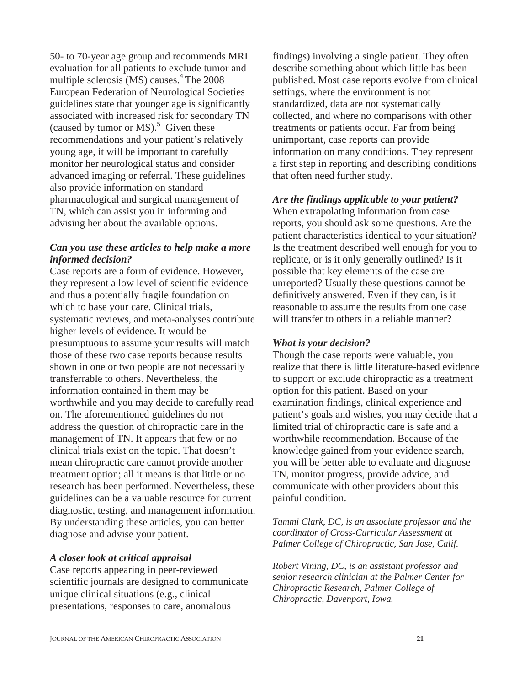50- to 70-year age group and recommends MRI evaluation for all patients to exclude tumor and multiple sclerosis  $(MS)$  causes.<sup>4</sup> The 2008 European Federation of Neurological Societies guidelines state that younger age is significantly associated with increased risk for secondary TN (caused by tumor or MS). $<sup>5</sup>$  Given these</sup> recommendations and your patient's relatively young age, it will be important to carefully monitor her neurological status and consider advanced imaging or referral. These guidelines also provide information on standard pharmacological and surgical management of TN, which can assist you in informing and advising her about the available options.

## *Can you use these articles to help make a more informed decision?*

Case reports are a form of evidence. However, they represent a low level of scientific evidence and thus a potentially fragile foundation on which to base your care. Clinical trials, systematic reviews, and meta-analyses contribute higher levels of evidence. It would be presumptuous to assume your results will match those of these two case reports because results shown in one or two people are not necessarily transferrable to others. Nevertheless, the information contained in them may be worthwhile and you may decide to carefully read on. The aforementioned guidelines do not address the question of chiropractic care in the management of TN. It appears that few or no clinical trials exist on the topic. That doesn't mean chiropractic care cannot provide another treatment option; all it means is that little or no research has been performed. Nevertheless, these guidelines can be a valuable resource for current diagnostic, testing, and management information. By understanding these articles, you can better diagnose and advise your patient.

## *A closer look at critical appraisal*

Case reports appearing in peer-reviewed scientific journals are designed to communicate unique clinical situations (e.g., clinical presentations, responses to care, anomalous

findings) involving a single patient. They often describe something about which little has been published. Most case reports evolve from clinical settings, where the environment is not standardized, data are not systematically collected, and where no comparisons with other treatments or patients occur. Far from being unimportant, case reports can provide information on many conditions. They represent a first step in reporting and describing conditions that often need further study.

#### *Are the findings applicable to your patient?*

When extrapolating information from case reports, you should ask some questions. Are the patient characteristics identical to your situation? Is the treatment described well enough for you to replicate, or is it only generally outlined? Is it possible that key elements of the case are unreported? Usually these questions cannot be definitively answered. Even if they can, is it reasonable to assume the results from one case will transfer to others in a reliable manner?

#### *What is your decision?*

Though the case reports were valuable, you realize that there is little literature-based evidence to support or exclude chiropractic as a treatment option for this patient. Based on your examination findings, clinical experience and patient's goals and wishes, you may decide that a limited trial of chiropractic care is safe and a worthwhile recommendation. Because of the knowledge gained from your evidence search, you will be better able to evaluate and diagnose TN, monitor progress, provide advice, and communicate with other providers about this painful condition.

*Tammi Clark, DC, is an associate professor and the coordinator of Cross-Curricular Assessment at Palmer College of Chiropractic, San Jose, Calif.*

*Robert Vining, DC, is an assistant professor and senior research clinician at the Palmer Center for Chiropractic Research, Palmer College of Chiropractic, Davenport, Iowa.*